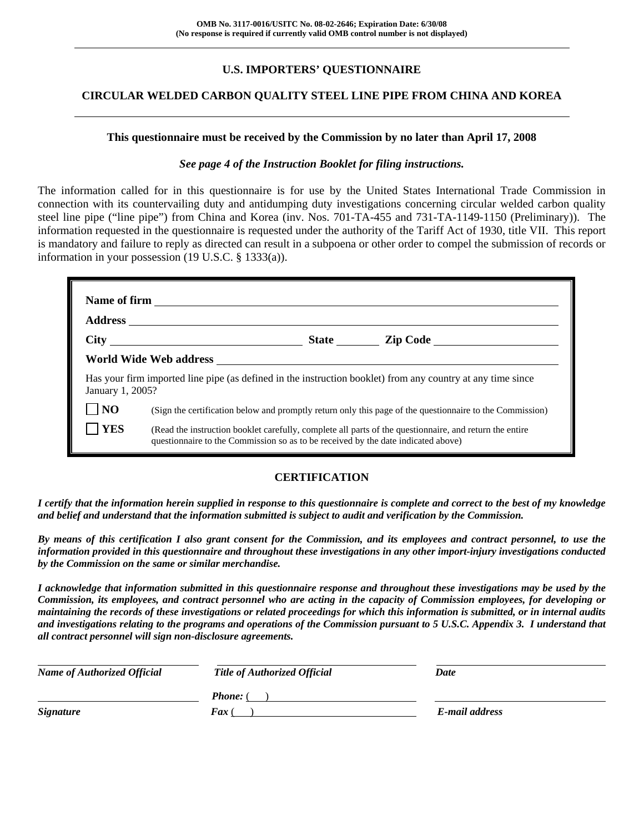# **U.S. IMPORTERS' QUESTIONNAIRE**

### **CIRCULAR WELDED CARBON QUALITY STEEL LINE PIPE FROM CHINA AND KOREA**

#### **This questionnaire must be received by the Commission by no later than April 17, 2008**

#### *See page 4 of the Instruction Booklet for filing instructions.*

The information called for in this questionnaire is for use by the United States International Trade Commission in connection with its countervailing duty and antidumping duty investigations concerning circular welded carbon quality steel line pipe ("line pipe") from China and Korea (inv. Nos. 701-TA-455 and 731-TA-1149-1150 (Preliminary)). The information requested in the questionnaire is requested under the authority of the Tariff Act of 1930, title VII. This report is mandatory and failure to reply as directed can result in a subpoena or other order to compel the submission of records or information in your possession (19 U.S.C. § 1333(a)).

| January 1, 2005? |                                                                                   | Has your firm imported line pipe (as defined in the instruction booklet) from any country at any time since |
|------------------|-----------------------------------------------------------------------------------|-------------------------------------------------------------------------------------------------------------|
| NO               |                                                                                   | (Sign the certification below and promptly return only this page of the questionnaire to the Commission)    |
| <b>YES</b>       | questionnaire to the Commission so as to be received by the date indicated above) | (Read the instruction booklet carefully, complete all parts of the questionnaire, and return the entire     |

### **CERTIFICATION**

*I certify that the information herein supplied in response to this questionnaire is complete and correct to the best of my knowledge and belief and understand that the information submitted is subject to audit and verification by the Commission.* 

*By means of this certification I also grant consent for the Commission, and its employees and contract personnel, to use the information provided in this questionnaire and throughout these investigations in any other import-injury investigations conducted by the Commission on the same or similar merchandise.* 

*I acknowledge that information submitted in this questionnaire response and throughout these investigations may be used by the Commission, its employees, and contract personnel who are acting in the capacity of Commission employees, for developing or maintaining the records of these investigations or related proceedings for which this information is submitted, or in internal audits and investigations relating to the programs and operations of the Commission pursuant to 5 U.S.C. Appendix 3. I understand that all contract personnel will sign non-disclosure agreements.* 

| <b>Name of Authorized Official</b> | <b>Title of Authorized Official</b> | Date           |  |
|------------------------------------|-------------------------------------|----------------|--|
|                                    | <b>Phone:</b> (                     |                |  |
| <b>Signature</b>                   | <b>Fax</b> (                        | E-mail address |  |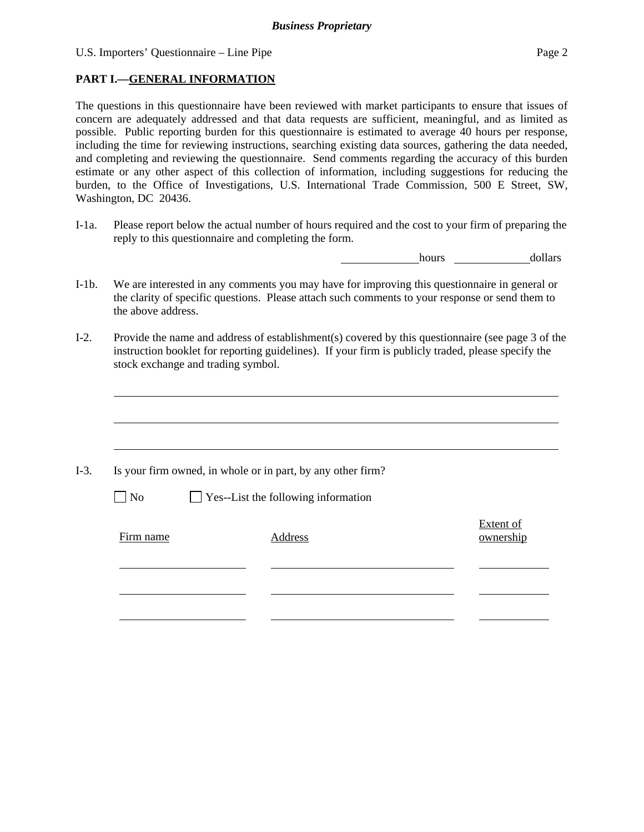U.S. Importers' Questionnaire – Line Pipe Page 2

### **PART I.—GENERAL INFORMATION**

The questions in this questionnaire have been reviewed with market participants to ensure that issues of concern are adequately addressed and that data requests are sufficient, meaningful, and as limited as possible. Public reporting burden for this questionnaire is estimated to average 40 hours per response, including the time for reviewing instructions, searching existing data sources, gathering the data needed, and completing and reviewing the questionnaire. Send comments regarding the accuracy of this burden estimate or any other aspect of this collection of information, including suggestions for reducing the burden, to the Office of Investigations, U.S. International Trade Commission, 500 E Street, SW, Washington, DC 20436.

I-1a. Please report below the actual number of hours required and the cost to your firm of preparing the reply to this questionnaire and completing the form.

hours dollars

- I-1b. We are interested in any comments you may have for improving this questionnaire in general or the clarity of specific questions. Please attach such comments to your response or send them to the above address.
- I-2. Provide the name and address of establishment(s) covered by this questionnaire (see page 3 of the instruction booklet for reporting guidelines). If your firm is publicly traded, please specify the stock exchange and trading symbol.

|           | Is your firm owned, in whole or in part, by any other firm? |                               |
|-----------|-------------------------------------------------------------|-------------------------------|
| $\neg$ No | $\Box$ Yes--List the following information                  |                               |
| Firm name | Address                                                     | <b>Extent of</b><br>ownership |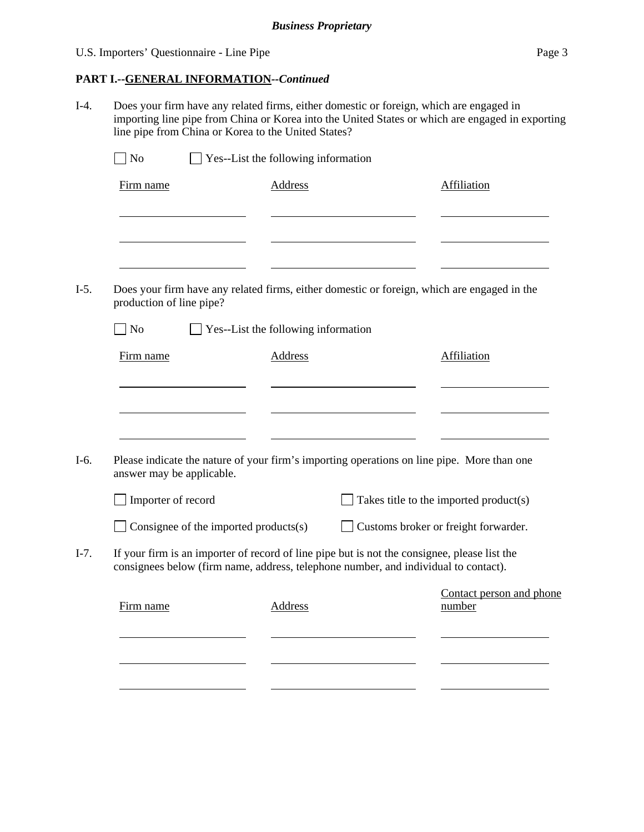### U.S. Importers' Questionnaire - Line Pipe Page 3

## **PART I.--GENERAL INFORMATION***--Continued*

I-4. Does your firm have any related firms, either domestic or foreign, which are engaged in importing line pipe from China or Korea into the United States or which are engaged in exporting line pipe from China or Korea to the United States?

| Firm name                                | <b>Address</b>                      | Affiliation                                                                                  |
|------------------------------------------|-------------------------------------|----------------------------------------------------------------------------------------------|
|                                          |                                     |                                                                                              |
|                                          |                                     |                                                                                              |
|                                          |                                     |                                                                                              |
| production of line pipe?                 |                                     | Does your firm have any related firms, either domestic or foreign, which are engaged in the  |
| No                                       | Yes--List the following information |                                                                                              |
| Firm name                                | <b>Address</b>                      | Affiliation                                                                                  |
|                                          |                                     |                                                                                              |
|                                          |                                     |                                                                                              |
|                                          |                                     |                                                                                              |
|                                          |                                     |                                                                                              |
|                                          |                                     |                                                                                              |
|                                          |                                     | Please indicate the nature of your firm's importing operations on line pipe. More than one   |
|                                          |                                     |                                                                                              |
| Importer of record                       |                                     | Takes title to the imported product(s)                                                       |
| Consignee of the imported products $(s)$ |                                     | Customs broker or freight forwarder.                                                         |
|                                          |                                     | If your firm is an importer of record of line pipe but is not the consignee, please list the |
|                                          |                                     | consignees below (firm name, address, telephone number, and individual to contact).          |
| answer may be applicable.<br>Firm name   | <b>Address</b>                      | Contact person and phone<br>number                                                           |
|                                          |                                     |                                                                                              |
|                                          |                                     |                                                                                              |
|                                          |                                     |                                                                                              |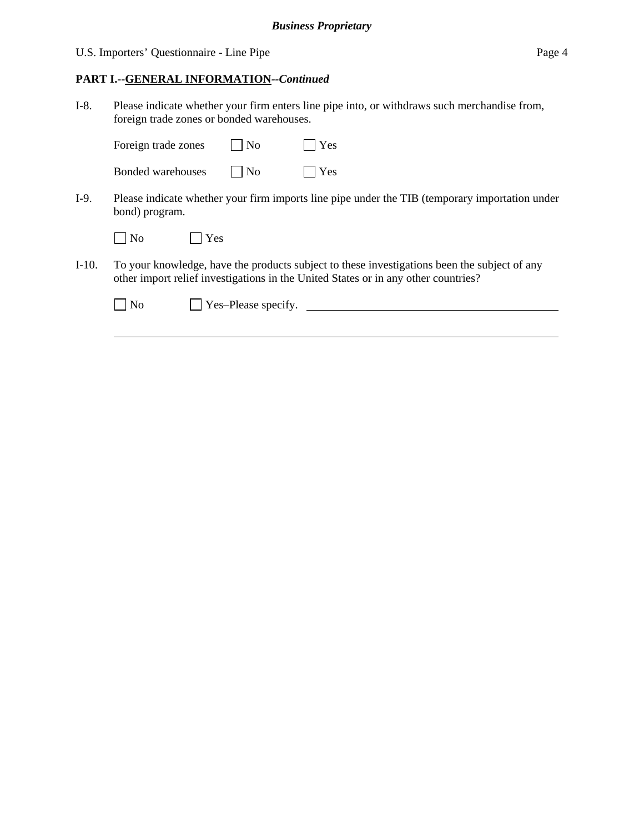U.S. Importers' Questionnaire - Line Pipe Page 4

### **PART I.--GENERAL INFORMATION***--Continued*

I-8. Please indicate whether your firm enters line pipe into, or withdraws such merchandise from, foreign trade zones or bonded warehouses.

| Foreign trade zones | $\vert$ $\vert$ No          | $\vert \vert$ Yes |
|---------------------|-----------------------------|-------------------|
| Bonded warehouses   | $\overline{\phantom{a}}$ No | $\Box$ Yes        |

I-9. Please indicate whether your firm imports line pipe under the TIB (temporary importation under bond) program.

| N <sub>0</sub> | Yes |
|----------------|-----|
|----------------|-----|

 $\overline{a}$ 

I-10. To your knowledge, have the products subject to these investigations been the subject of any other import relief investigations in the United States or in any other countries?

| $\Box$ No | $\vert$ Yes-Please specify. |  |
|-----------|-----------------------------|--|
|           |                             |  |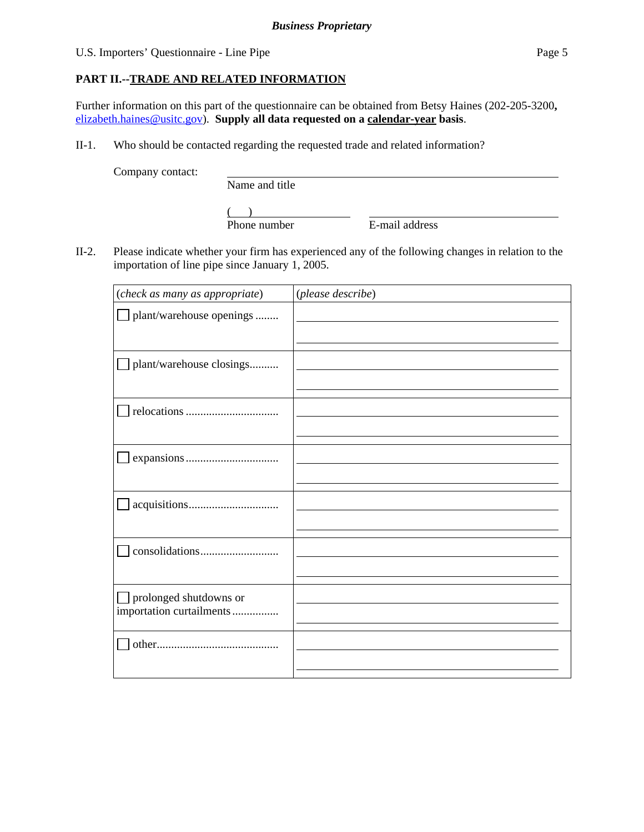### U.S. Importers' Questionnaire - Line Pipe Page 5

### **PART II.--TRADE AND RELATED INFORMATION**

Further information on this part of the questionnaire can be obtained from Betsy Haines (202-205-3200**,**  elizabeth.haines@usitc.gov). **Supply all data requested on a calendar-year basis**.

II-1. Who should be contacted regarding the requested trade and related information?

Company contact:

Name and title

 $\frac{1}{2}$ Phone number

E-mail address

II-2. Please indicate whether your firm has experienced any of the following changes in relation to the importation of line pipe since January 1, 2005.

| (check as many as appropriate)                     | (please describe) |
|----------------------------------------------------|-------------------|
| plant/warehouse openings                           |                   |
| plant/warehouse closings                           |                   |
|                                                    |                   |
|                                                    |                   |
|                                                    |                   |
|                                                    |                   |
| prolonged shutdowns or<br>importation curtailments |                   |
|                                                    |                   |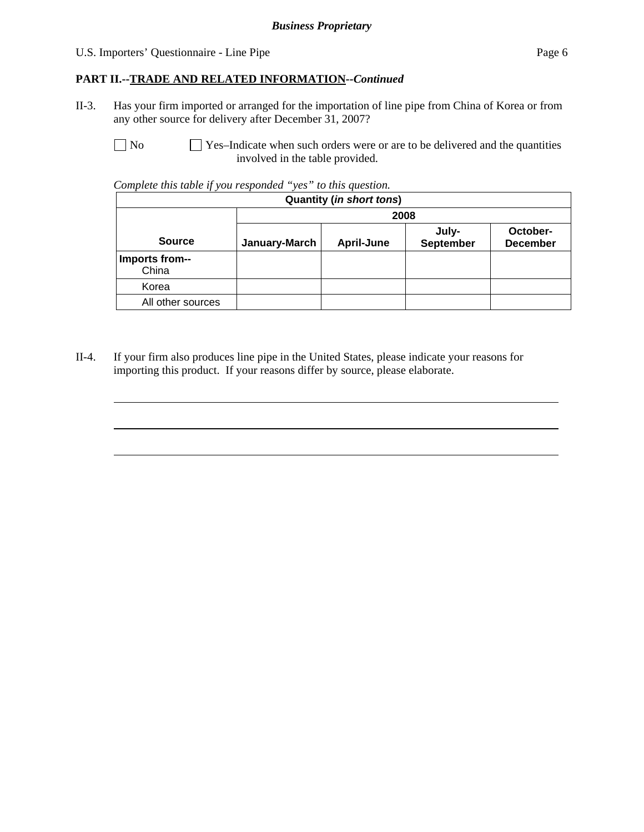### U.S. Importers' Questionnaire - Line Pipe Page 6

### **PART II.--TRADE AND RELATED INFORMATION***--Continued*

II-3. Has your firm imported or arranged for the importation of line pipe from China of Korea or from any other source for delivery after December 31, 2007?

l

 $\overline{a}$ 

 $\overline{a}$ 

 $\Box$  No  $\Box$  Yes–Indicate when such orders were or are to be delivered and the quantities involved in the table provided.

*Complete this table if you responded "yes" to this question.* 

| <b>Quantity (in short tons)</b> |               |                   |                           |                             |  |
|---------------------------------|---------------|-------------------|---------------------------|-----------------------------|--|
|                                 | 2008          |                   |                           |                             |  |
| <b>Source</b>                   | January-March | <b>April-June</b> | July-<br><b>September</b> | October-<br><b>December</b> |  |
| Imports from--<br>China         |               |                   |                           |                             |  |
| Korea                           |               |                   |                           |                             |  |
| All other sources               |               |                   |                           |                             |  |

II-4. If your firm also produces line pipe in the United States, please indicate your reasons for importing this product. If your reasons differ by source, please elaborate.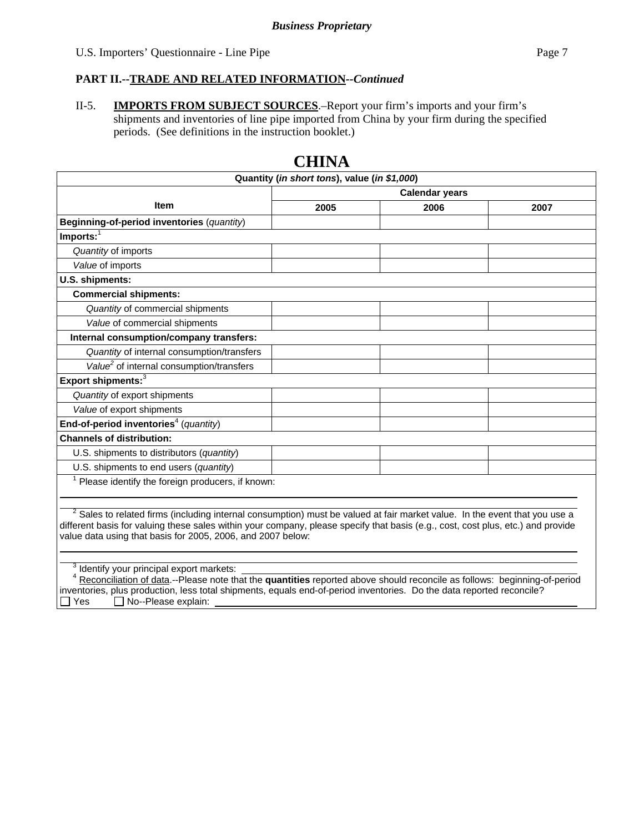### **PART II.--TRADE AND RELATED INFORMATION***--Continued*

II-5. **IMPORTS FROM SUBJECT SOURCES**.–Report your firm's imports and your firm's shipments and inventories of line pipe imported from China by your firm during the specified periods. (See definitions in the instruction booklet.)

|                                                                                                                                       | Quantity (in short tons), value (in \$1,000) |      |      |  |  |
|---------------------------------------------------------------------------------------------------------------------------------------|----------------------------------------------|------|------|--|--|
| <b>Calendar years</b>                                                                                                                 |                                              |      |      |  |  |
| <b>Item</b>                                                                                                                           | 2005                                         | 2006 | 2007 |  |  |
| Beginning-of-period inventories (quantity)                                                                                            |                                              |      |      |  |  |
| $Imports:$ <sup>1</sup>                                                                                                               |                                              |      |      |  |  |
| Quantity of imports                                                                                                                   |                                              |      |      |  |  |
| Value of imports                                                                                                                      |                                              |      |      |  |  |
| U.S. shipments:                                                                                                                       |                                              |      |      |  |  |
| <b>Commercial shipments:</b>                                                                                                          |                                              |      |      |  |  |
| Quantity of commercial shipments                                                                                                      |                                              |      |      |  |  |
| Value of commercial shipments                                                                                                         |                                              |      |      |  |  |
| Internal consumption/company transfers:                                                                                               |                                              |      |      |  |  |
| Quantity of internal consumption/transfers                                                                                            |                                              |      |      |  |  |
| Value <sup>2</sup> of internal consumption/transfers                                                                                  |                                              |      |      |  |  |
| Export shipments: <sup>3</sup>                                                                                                        |                                              |      |      |  |  |
| Quantity of export shipments                                                                                                          |                                              |      |      |  |  |
| Value of export shipments                                                                                                             |                                              |      |      |  |  |
| End-of-period inventories <sup>4</sup> (quantity)                                                                                     |                                              |      |      |  |  |
| <b>Channels of distribution:</b>                                                                                                      |                                              |      |      |  |  |
| U.S. shipments to distributors (quantity)                                                                                             |                                              |      |      |  |  |
| U.S. shipments to end users (quantity)                                                                                                |                                              |      |      |  |  |
| <sup>1</sup> Please identify the foreign producers, if known:                                                                         |                                              |      |      |  |  |
|                                                                                                                                       |                                              |      |      |  |  |
| <sup>2</sup> Sales to related firms (including internal consumption) must be valued at fair market value. In the event that you use a |                                              |      |      |  |  |
| different basis for valuing these sales within your company, please specify that basis (e.g., cost, cost plus, etc.) and provide      |                                              |      |      |  |  |
|                                                                                                                                       |                                              |      |      |  |  |
| value data using that basis for 2005, 2006, and 2007 below:                                                                           |                                              |      |      |  |  |

# **CHINA**

<sup>3</sup> Identify your principal export markets:

 <sup>4</sup> Reconciliation of data.--Please note that the **quantities** reported above should reconcile as follows: beginning-of-period inventories, plus production, less total shipments, equals end-of-period inventories. Do the data reported reconcile?  $\Box$  Yes  $\Box$  No--Please explain: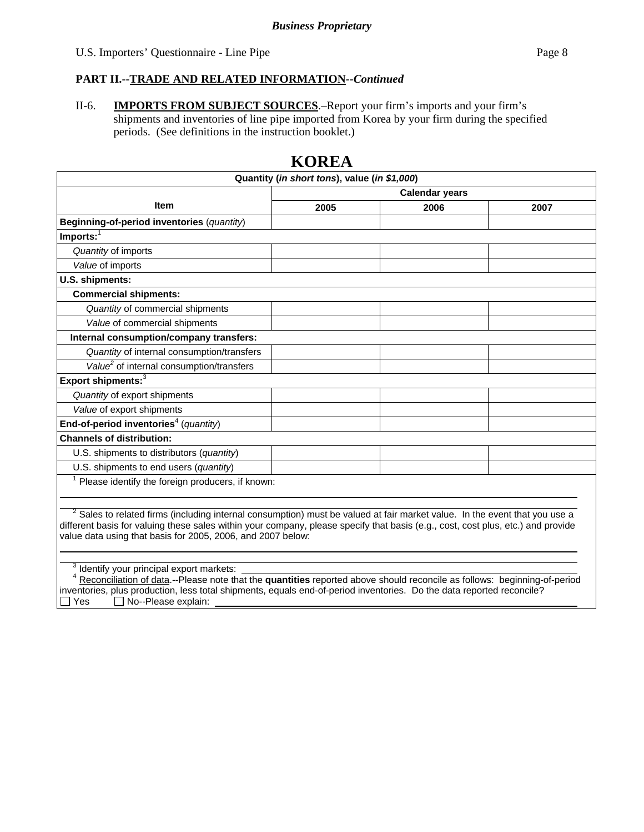### **PART II.--TRADE AND RELATED INFORMATION***--Continued*

II-6. **IMPORTS FROM SUBJECT SOURCES**.–Report your firm's imports and your firm's shipments and inventories of line pipe imported from Korea by your firm during the specified periods. (See definitions in the instruction booklet.)

| Quantity (in short tons), value (in \$1,000)<br><b>Calendar years</b>                                                            |  |  |  |  |  |
|----------------------------------------------------------------------------------------------------------------------------------|--|--|--|--|--|
| <b>Item</b><br>2005<br>2006<br>2007                                                                                              |  |  |  |  |  |
|                                                                                                                                  |  |  |  |  |  |
| Beginning-of-period inventories (quantity)                                                                                       |  |  |  |  |  |
| $Imports:$ <sup>1</sup>                                                                                                          |  |  |  |  |  |
| Quantity of imports                                                                                                              |  |  |  |  |  |
| Value of imports                                                                                                                 |  |  |  |  |  |
| U.S. shipments:                                                                                                                  |  |  |  |  |  |
| <b>Commercial shipments:</b>                                                                                                     |  |  |  |  |  |
| Quantity of commercial shipments                                                                                                 |  |  |  |  |  |
| Value of commercial shipments                                                                                                    |  |  |  |  |  |
| Internal consumption/company transfers:                                                                                          |  |  |  |  |  |
| Quantity of internal consumption/transfers                                                                                       |  |  |  |  |  |
| Value <sup>2</sup> of internal consumption/transfers                                                                             |  |  |  |  |  |
| Export shipments: <sup>3</sup>                                                                                                   |  |  |  |  |  |
| Quantity of export shipments                                                                                                     |  |  |  |  |  |
| Value of export shipments                                                                                                        |  |  |  |  |  |
| End-of-period inventories <sup>4</sup> (quantity)                                                                                |  |  |  |  |  |
| <b>Channels of distribution:</b>                                                                                                 |  |  |  |  |  |
| U.S. shipments to distributors (quantity)                                                                                        |  |  |  |  |  |
| U.S. shipments to end users (quantity)                                                                                           |  |  |  |  |  |
| Please identify the foreign producers, if known:                                                                                 |  |  |  |  |  |
|                                                                                                                                  |  |  |  |  |  |
| $2$ Sales to related firms (including internal consumption) must be valued at fair market value. In the event that you use a     |  |  |  |  |  |
| different basis for valuing these sales within your company, please specify that basis (e.g., cost, cost plus, etc.) and provide |  |  |  |  |  |
| value data using that basis for 2005, 2006, and 2007 below:                                                                      |  |  |  |  |  |
|                                                                                                                                  |  |  |  |  |  |
|                                                                                                                                  |  |  |  |  |  |

# **KOREA**

<sup>3</sup> Identify your principal export markets:

 <sup>4</sup> Reconciliation of data.--Please note that the **quantities** reported above should reconcile as follows: beginning-of-period inventories, plus production, less total shipments, equals end-of-period inventories. Do the data reported reconcile?<br>
Tes 
Do-Please explain:  $\Box$  No--Please explain: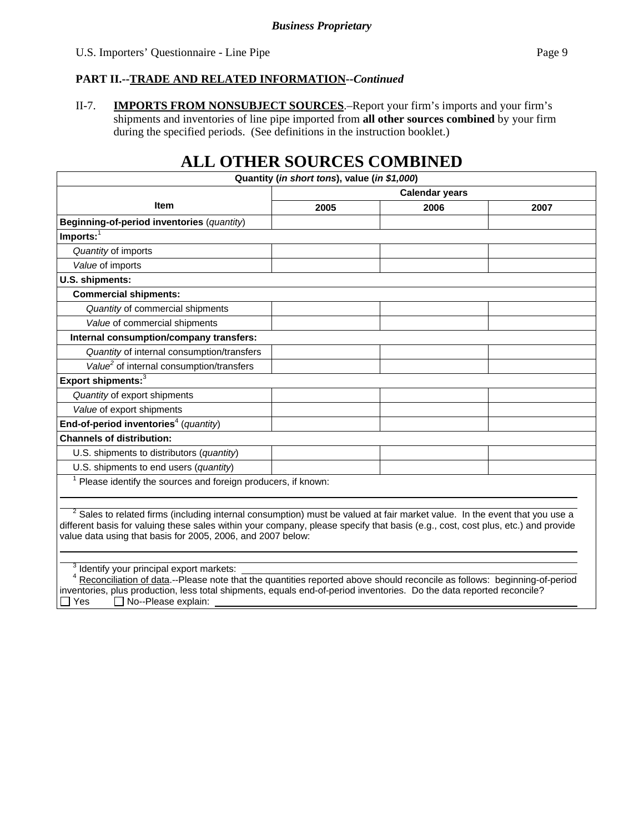### **PART II.--TRADE AND RELATED INFORMATION***--Continued*

II-7. **IMPORTS FROM NONSUBJECT SOURCES**.–Report your firm's imports and your firm's shipments and inventories of line pipe imported from **all other sources combined** by your firm during the specified periods. (See definitions in the instruction booklet.)

# **ALL OTHER SOURCES COMBINED**

|                                                                                                                                                                                                                                                                                                                                                        | Quantity (in short tons), value (in \$1,000) |      |      |
|--------------------------------------------------------------------------------------------------------------------------------------------------------------------------------------------------------------------------------------------------------------------------------------------------------------------------------------------------------|----------------------------------------------|------|------|
|                                                                                                                                                                                                                                                                                                                                                        | <b>Calendar years</b>                        |      |      |
| <b>Item</b>                                                                                                                                                                                                                                                                                                                                            | 2005                                         | 2006 | 2007 |
| Beginning-of-period inventories (quantity)                                                                                                                                                                                                                                                                                                             |                                              |      |      |
| $Imports:$ <sup>1</sup>                                                                                                                                                                                                                                                                                                                                |                                              |      |      |
| Quantity of imports                                                                                                                                                                                                                                                                                                                                    |                                              |      |      |
| Value of imports                                                                                                                                                                                                                                                                                                                                       |                                              |      |      |
| U.S. shipments:                                                                                                                                                                                                                                                                                                                                        |                                              |      |      |
| <b>Commercial shipments:</b>                                                                                                                                                                                                                                                                                                                           |                                              |      |      |
| Quantity of commercial shipments                                                                                                                                                                                                                                                                                                                       |                                              |      |      |
| Value of commercial shipments                                                                                                                                                                                                                                                                                                                          |                                              |      |      |
| Internal consumption/company transfers:                                                                                                                                                                                                                                                                                                                |                                              |      |      |
| Quantity of internal consumption/transfers                                                                                                                                                                                                                                                                                                             |                                              |      |      |
| Value <sup>2</sup> of internal consumption/transfers                                                                                                                                                                                                                                                                                                   |                                              |      |      |
| Export shipments: <sup>3</sup>                                                                                                                                                                                                                                                                                                                         |                                              |      |      |
| Quantity of export shipments                                                                                                                                                                                                                                                                                                                           |                                              |      |      |
| Value of export shipments                                                                                                                                                                                                                                                                                                                              |                                              |      |      |
| End-of-period inventories <sup>4</sup> (quantity)                                                                                                                                                                                                                                                                                                      |                                              |      |      |
| <b>Channels of distribution:</b>                                                                                                                                                                                                                                                                                                                       |                                              |      |      |
| U.S. shipments to distributors (quantity)                                                                                                                                                                                                                                                                                                              |                                              |      |      |
| U.S. shipments to end users (quantity)                                                                                                                                                                                                                                                                                                                 |                                              |      |      |
| Please identify the sources and foreign producers, if known:                                                                                                                                                                                                                                                                                           |                                              |      |      |
| $\overline{\mathbf{c}}$<br>Sales to related firms (including internal consumption) must be valued at fair market value. In the event that you use a<br>different basis for valuing these sales within your company, please specify that basis (e.g., cost, cost plus, etc.) and provide<br>value data using that basis for 2005, 2006, and 2007 below: |                                              |      |      |
| Identify your principal export markets:<br>Reconciliation of data.--Please note that the quantities reported above should reconcile as follows: beginning-of-period<br>inventories, plus production, less total shipments, equals end-of-period inventories. Do the data reported reconcile?                                                           |                                              |      |      |

 $\Box$  Yes  $\Box$  No--Please explain: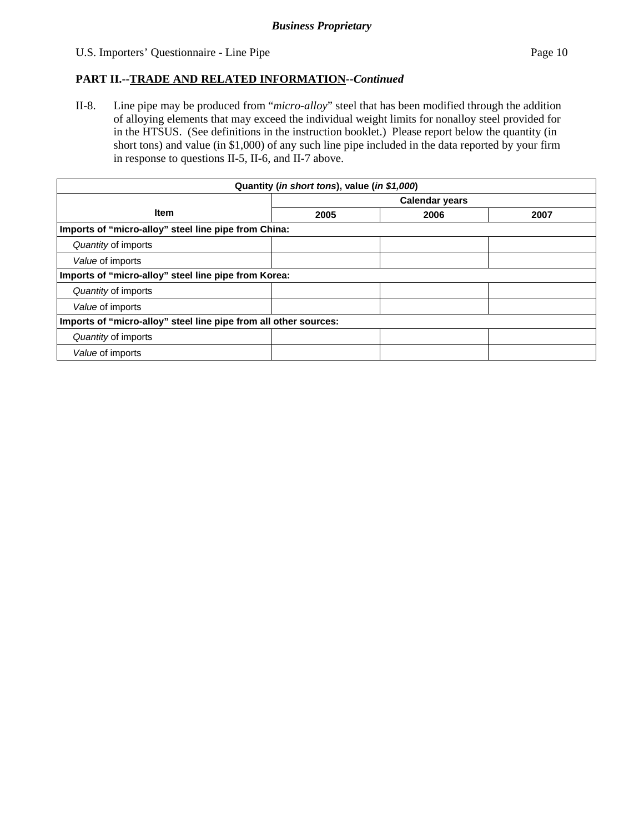### U.S. Importers' Questionnaire - Line Pipe Page 10

### **PART II.--TRADE AND RELATED INFORMATION***--Continued*

II-8. Line pipe may be produced from "*micro-alloy*" steel that has been modified through the addition of alloying elements that may exceed the individual weight limits for nonalloy steel provided for in the HTSUS. (See definitions in the instruction booklet.) Please report below the quantity (in short tons) and value (in \$1,000) of any such line pipe included in the data reported by your firm in response to questions II-5, II-6, and II-7 above.

| Quantity (in short tons), value (in \$1,000)                     |                       |      |      |  |  |  |
|------------------------------------------------------------------|-----------------------|------|------|--|--|--|
|                                                                  | <b>Calendar years</b> |      |      |  |  |  |
| <b>Item</b>                                                      | 2005                  | 2006 | 2007 |  |  |  |
| Imports of "micro-alloy" steel line pipe from China:             |                       |      |      |  |  |  |
| Quantity of imports                                              |                       |      |      |  |  |  |
| Value of imports                                                 |                       |      |      |  |  |  |
| Imports of "micro-alloy" steel line pipe from Korea:             |                       |      |      |  |  |  |
| Quantity of imports                                              |                       |      |      |  |  |  |
| Value of imports                                                 |                       |      |      |  |  |  |
| Imports of "micro-alloy" steel line pipe from all other sources: |                       |      |      |  |  |  |
| Quantity of imports                                              |                       |      |      |  |  |  |
| Value of imports                                                 |                       |      |      |  |  |  |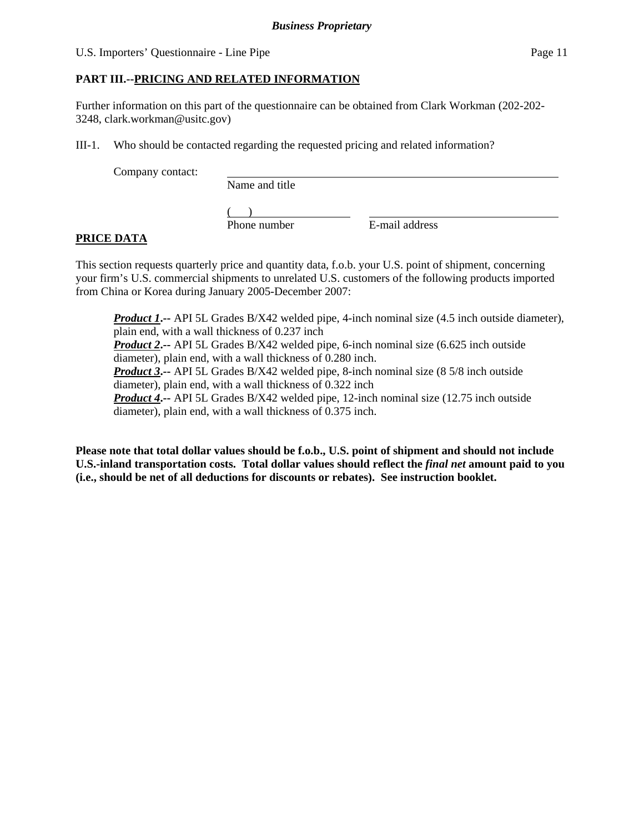#### U.S. Importers' Questionnaire - Line Pipe Page 11

### **PART III.--PRICING AND RELATED INFORMATION**

Further information on this part of the questionnaire can be obtained from Clark Workman (202-202- 3248, clark.workman@usitc.gov)

III-1. Who should be contacted regarding the requested pricing and related information?

Company contact:

Name and title

 $($ 

Phone number E-mail address

### **PRICE DATA**

This section requests quarterly price and quantity data, f.o.b. your U.S. point of shipment, concerning your firm's U.S. commercial shipments to unrelated U.S. customers of the following products imported from China or Korea during January 2005-December 2007:

**Product 1.** -- API 5L Grades B/X42 welded pipe, 4-inch nominal size (4.5 inch outside diameter), plain end, with a wall thickness of 0.237 inch *Product 2***.--** API 5L Grades B/X42 welded pipe, 6-inch nominal size (6.625 inch outside diameter), plain end, with a wall thickness of 0.280 inch. *Product 3***.--** API 5L Grades B/X42 welded pipe, 8-inch nominal size (8 5/8 inch outside diameter), plain end, with a wall thickness of 0.322 inch *Product 4***.--** API 5L Grades B/X42 welded pipe, 12-inch nominal size (12.75 inch outside diameter), plain end, with a wall thickness of 0.375 inch.

**Please note that total dollar values should be f.o.b., U.S. point of shipment and should not include U.S.-inland transportation costs. Total dollar values should reflect the** *final net* **amount paid to you (i.e., should be net of all deductions for discounts or rebates). See instruction booklet.**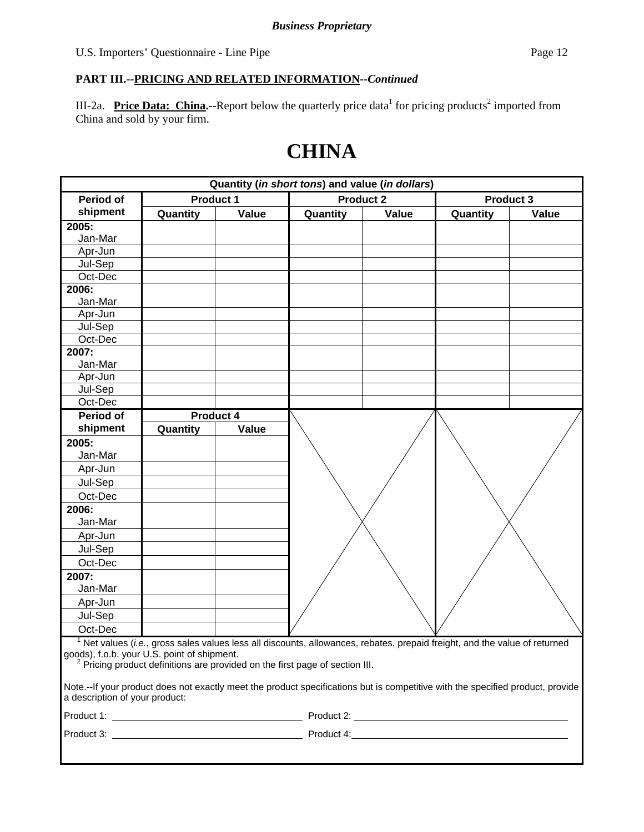III-2a. Price Data: China.--Report below the quarterly price data<sup>1</sup> for pricing products<sup>2</sup> imported from China and sold by your firm.

# **CHINA**

| Quantity (in short tons) and value (in dollars)                                                                                |                  |       |                                                                                                                          |                  |          |                  |
|--------------------------------------------------------------------------------------------------------------------------------|------------------|-------|--------------------------------------------------------------------------------------------------------------------------|------------------|----------|------------------|
| <b>Period of</b>                                                                                                               | <b>Product 1</b> |       |                                                                                                                          | <b>Product 2</b> |          | <b>Product 3</b> |
| shipment                                                                                                                       | Quantity         | Value | Quantity                                                                                                                 | Value            | Quantity | Value            |
| 2005:                                                                                                                          |                  |       |                                                                                                                          |                  |          |                  |
| Jan-Mar                                                                                                                        |                  |       |                                                                                                                          |                  |          |                  |
| Apr-Jun                                                                                                                        |                  |       |                                                                                                                          |                  |          |                  |
| Jul-Sep                                                                                                                        |                  |       |                                                                                                                          |                  |          |                  |
| Oct-Dec                                                                                                                        |                  |       |                                                                                                                          |                  |          |                  |
| 2006:                                                                                                                          |                  |       |                                                                                                                          |                  |          |                  |
| Jan-Mar                                                                                                                        |                  |       |                                                                                                                          |                  |          |                  |
| Apr-Jun                                                                                                                        |                  |       |                                                                                                                          |                  |          |                  |
| Jul-Sep                                                                                                                        |                  |       |                                                                                                                          |                  |          |                  |
| Oct-Dec                                                                                                                        |                  |       |                                                                                                                          |                  |          |                  |
| 2007:                                                                                                                          |                  |       |                                                                                                                          |                  |          |                  |
| Jan-Mar                                                                                                                        |                  |       |                                                                                                                          |                  |          |                  |
| Apr-Jun                                                                                                                        |                  |       |                                                                                                                          |                  |          |                  |
| Jul-Sep                                                                                                                        |                  |       |                                                                                                                          |                  |          |                  |
| Oct-Dec                                                                                                                        |                  |       |                                                                                                                          |                  |          |                  |
| Period of                                                                                                                      | Product 4        |       |                                                                                                                          |                  |          |                  |
| shipment                                                                                                                       | Quantity         | Value |                                                                                                                          |                  |          |                  |
| 2005:                                                                                                                          |                  |       |                                                                                                                          |                  |          |                  |
| Jan-Mar                                                                                                                        |                  |       |                                                                                                                          |                  |          |                  |
| Apr-Jun                                                                                                                        |                  |       |                                                                                                                          |                  |          |                  |
| Jul-Sep                                                                                                                        |                  |       |                                                                                                                          |                  |          |                  |
| Oct-Dec                                                                                                                        |                  |       |                                                                                                                          |                  |          |                  |
| 2006:                                                                                                                          |                  |       |                                                                                                                          |                  |          |                  |
| Jan-Mar                                                                                                                        |                  |       |                                                                                                                          |                  |          |                  |
| Apr-Jun                                                                                                                        |                  |       |                                                                                                                          |                  |          |                  |
| Jul-Sep                                                                                                                        |                  |       |                                                                                                                          |                  |          |                  |
| Oct-Dec                                                                                                                        |                  |       |                                                                                                                          |                  |          |                  |
| 2007:                                                                                                                          |                  |       |                                                                                                                          |                  |          |                  |
| Jan-Mar                                                                                                                        |                  |       |                                                                                                                          |                  |          |                  |
| Apr-Jun                                                                                                                        |                  |       |                                                                                                                          |                  |          |                  |
| Jul-Sep                                                                                                                        |                  |       |                                                                                                                          |                  |          |                  |
| Oct-Dec                                                                                                                        |                  |       |                                                                                                                          |                  |          |                  |
|                                                                                                                                |                  |       |                                                                                                                          |                  |          |                  |
| goods), f.o.b. your U.S. point of shipment.                                                                                    |                  |       | Net values (i.e., gross sales values less all discounts, allowances, rebates, prepaid freight, and the value of returned |                  |          |                  |
|                                                                                                                                |                  |       | <sup>2</sup> Pricing product definitions are provided on the first page of section III.                                  |                  |          |                  |
|                                                                                                                                |                  |       |                                                                                                                          |                  |          |                  |
| Note.--If your product does not exactly meet the product specifications but is competitive with the specified product, provide |                  |       |                                                                                                                          |                  |          |                  |
| a description of your product:                                                                                                 |                  |       |                                                                                                                          |                  |          |                  |
|                                                                                                                                |                  |       |                                                                                                                          |                  |          |                  |
|                                                                                                                                |                  |       |                                                                                                                          |                  |          |                  |
|                                                                                                                                |                  |       |                                                                                                                          |                  |          |                  |
|                                                                                                                                |                  |       |                                                                                                                          |                  |          |                  |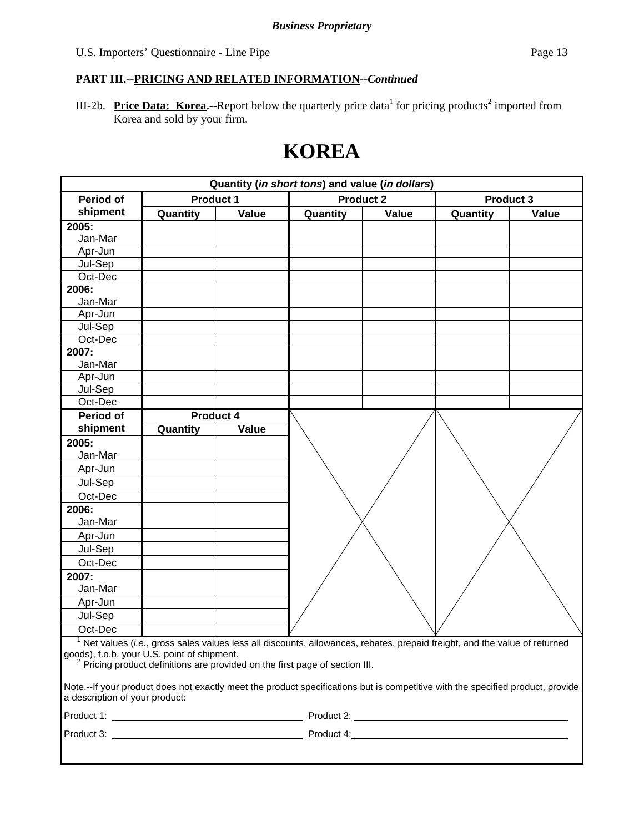III-2b. **Price Data: Korea.**--Report below the quarterly price data<sup>1</sup> for pricing products<sup>2</sup> imported from Korea and sold by your firm.

# **KOREA**

| Quantity (in short tons) and value (in dollars) |                  |       |                                                                                                                                |                  |          |           |
|-------------------------------------------------|------------------|-------|--------------------------------------------------------------------------------------------------------------------------------|------------------|----------|-----------|
| <b>Period of</b>                                | <b>Product 1</b> |       |                                                                                                                                | <b>Product 2</b> |          | Product 3 |
| shipment                                        | Quantity         | Value | Quantity                                                                                                                       | Value            | Quantity | Value     |
| 2005:                                           |                  |       |                                                                                                                                |                  |          |           |
| Jan-Mar                                         |                  |       |                                                                                                                                |                  |          |           |
| Apr-Jun                                         |                  |       |                                                                                                                                |                  |          |           |
| Jul-Sep                                         |                  |       |                                                                                                                                |                  |          |           |
| Oct-Dec                                         |                  |       |                                                                                                                                |                  |          |           |
| 2006:                                           |                  |       |                                                                                                                                |                  |          |           |
| Jan-Mar                                         |                  |       |                                                                                                                                |                  |          |           |
| Apr-Jun                                         |                  |       |                                                                                                                                |                  |          |           |
| Jul-Sep                                         |                  |       |                                                                                                                                |                  |          |           |
| Oct-Dec                                         |                  |       |                                                                                                                                |                  |          |           |
| 2007:                                           |                  |       |                                                                                                                                |                  |          |           |
| Jan-Mar                                         |                  |       |                                                                                                                                |                  |          |           |
| Apr-Jun                                         |                  |       |                                                                                                                                |                  |          |           |
| Jul-Sep                                         |                  |       |                                                                                                                                |                  |          |           |
| Oct-Dec                                         |                  |       |                                                                                                                                |                  |          |           |
| <b>Period of</b>                                | <b>Product 4</b> |       |                                                                                                                                |                  |          |           |
| shipment                                        | Quantity         | Value |                                                                                                                                |                  |          |           |
| 2005:                                           |                  |       |                                                                                                                                |                  |          |           |
| Jan-Mar                                         |                  |       |                                                                                                                                |                  |          |           |
| Apr-Jun                                         |                  |       |                                                                                                                                |                  |          |           |
| Jul-Sep                                         |                  |       |                                                                                                                                |                  |          |           |
| Oct-Dec                                         |                  |       |                                                                                                                                |                  |          |           |
| 2006:                                           |                  |       |                                                                                                                                |                  |          |           |
| Jan-Mar                                         |                  |       |                                                                                                                                |                  |          |           |
| Apr-Jun                                         |                  |       |                                                                                                                                |                  |          |           |
| Jul-Sep                                         |                  |       |                                                                                                                                |                  |          |           |
| Oct-Dec                                         |                  |       |                                                                                                                                |                  |          |           |
| 2007:                                           |                  |       |                                                                                                                                |                  |          |           |
| Jan-Mar                                         |                  |       |                                                                                                                                |                  |          |           |
| Apr-Jun                                         |                  |       |                                                                                                                                |                  |          |           |
| Jul-Sep                                         |                  |       |                                                                                                                                |                  |          |           |
| Oct-Dec                                         |                  |       |                                                                                                                                |                  |          |           |
|                                                 |                  |       | $1$ Net values (i.e., gross sales values less all discounts, allowances, rebates, prepaid freight, and the value of returned   |                  |          |           |
| goods), f.o.b. your U.S. point of shipment.     |                  |       |                                                                                                                                |                  |          |           |
|                                                 |                  |       | <sup>2</sup> Pricing product definitions are provided on the first page of section III.                                        |                  |          |           |
|                                                 |                  |       | Note.--If your product does not exactly meet the product specifications but is competitive with the specified product, provide |                  |          |           |
| a description of your product:                  |                  |       |                                                                                                                                |                  |          |           |
|                                                 |                  |       |                                                                                                                                |                  |          |           |
|                                                 |                  |       |                                                                                                                                |                  |          |           |
|                                                 |                  |       |                                                                                                                                |                  |          |           |
|                                                 |                  |       |                                                                                                                                |                  |          |           |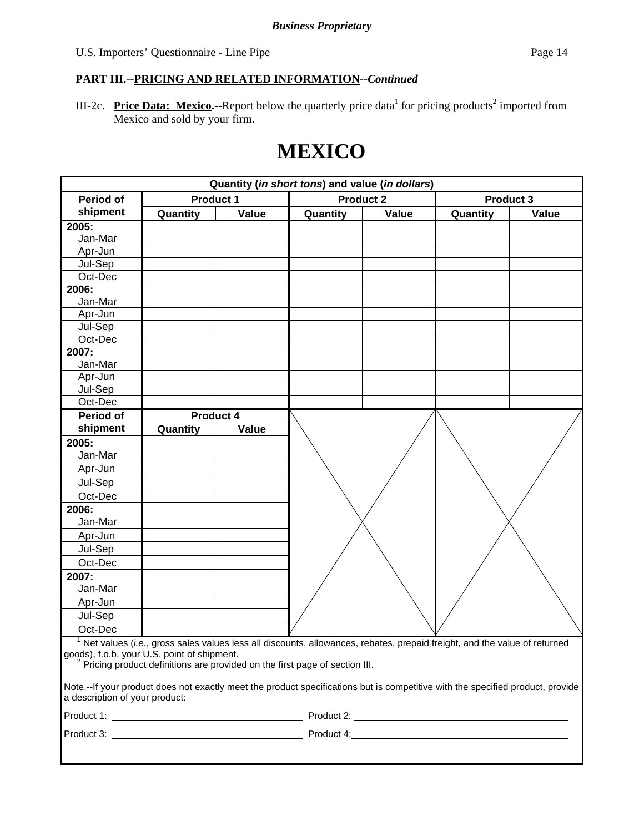III-2c. Price Data: Mexico.--Report below the quarterly price data<sup>1</sup> for pricing products<sup>2</sup> imported from Mexico and sold by your firm.

# **MEXICO**

| Quantity (in short tons) and value (in dollars) |                  |           |                                                                                                                                       |                  |          |                  |
|-------------------------------------------------|------------------|-----------|---------------------------------------------------------------------------------------------------------------------------------------|------------------|----------|------------------|
| <b>Period of</b>                                | <b>Product 1</b> |           |                                                                                                                                       | <b>Product 2</b> |          | <b>Product 3</b> |
| shipment                                        | Quantity         | Value     | Quantity                                                                                                                              | Value            | Quantity | Value            |
| 2005:                                           |                  |           |                                                                                                                                       |                  |          |                  |
| Jan-Mar                                         |                  |           |                                                                                                                                       |                  |          |                  |
| Apr-Jun                                         |                  |           |                                                                                                                                       |                  |          |                  |
| Jul-Sep                                         |                  |           |                                                                                                                                       |                  |          |                  |
| Oct-Dec                                         |                  |           |                                                                                                                                       |                  |          |                  |
| 2006:                                           |                  |           |                                                                                                                                       |                  |          |                  |
| Jan-Mar                                         |                  |           |                                                                                                                                       |                  |          |                  |
| Apr-Jun                                         |                  |           |                                                                                                                                       |                  |          |                  |
| Jul-Sep                                         |                  |           |                                                                                                                                       |                  |          |                  |
| Oct-Dec                                         |                  |           |                                                                                                                                       |                  |          |                  |
| 2007:                                           |                  |           |                                                                                                                                       |                  |          |                  |
| Jan-Mar                                         |                  |           |                                                                                                                                       |                  |          |                  |
| Apr-Jun                                         |                  |           |                                                                                                                                       |                  |          |                  |
| Jul-Sep                                         |                  |           |                                                                                                                                       |                  |          |                  |
| Oct-Dec                                         |                  |           |                                                                                                                                       |                  |          |                  |
| <b>Period of</b>                                |                  | Product 4 |                                                                                                                                       |                  |          |                  |
| shipment                                        | Quantity         | Value     |                                                                                                                                       |                  |          |                  |
| 2005:                                           |                  |           |                                                                                                                                       |                  |          |                  |
| Jan-Mar                                         |                  |           |                                                                                                                                       |                  |          |                  |
| Apr-Jun                                         |                  |           |                                                                                                                                       |                  |          |                  |
| Jul-Sep                                         |                  |           |                                                                                                                                       |                  |          |                  |
| Oct-Dec                                         |                  |           |                                                                                                                                       |                  |          |                  |
| 2006:                                           |                  |           |                                                                                                                                       |                  |          |                  |
| Jan-Mar                                         |                  |           |                                                                                                                                       |                  |          |                  |
| Apr-Jun                                         |                  |           |                                                                                                                                       |                  |          |                  |
| Jul-Sep                                         |                  |           |                                                                                                                                       |                  |          |                  |
| Oct-Dec                                         |                  |           |                                                                                                                                       |                  |          |                  |
| 2007:                                           |                  |           |                                                                                                                                       |                  |          |                  |
| Jan-Mar                                         |                  |           |                                                                                                                                       |                  |          |                  |
| Apr-Jun                                         |                  |           |                                                                                                                                       |                  |          |                  |
| Jul-Sep                                         |                  |           |                                                                                                                                       |                  |          |                  |
| Oct-Dec                                         |                  |           |                                                                                                                                       |                  |          |                  |
|                                                 |                  |           | $1$ Net values ( <i>i.e.</i> , gross sales values less all discounts, allowances, rebates, prepaid freight, and the value of returned |                  |          |                  |
| goods), f.o.b. your U.S. point of shipment.     |                  |           | <sup>2</sup> Pricing product definitions are provided on the first page of section III.                                               |                  |          |                  |
|                                                 |                  |           |                                                                                                                                       |                  |          |                  |
| a description of your product:                  |                  |           | Note.--If your product does not exactly meet the product specifications but is competitive with the specified product, provide        |                  |          |                  |
|                                                 |                  |           |                                                                                                                                       |                  |          |                  |
|                                                 |                  |           |                                                                                                                                       |                  |          |                  |
|                                                 |                  |           |                                                                                                                                       |                  |          |                  |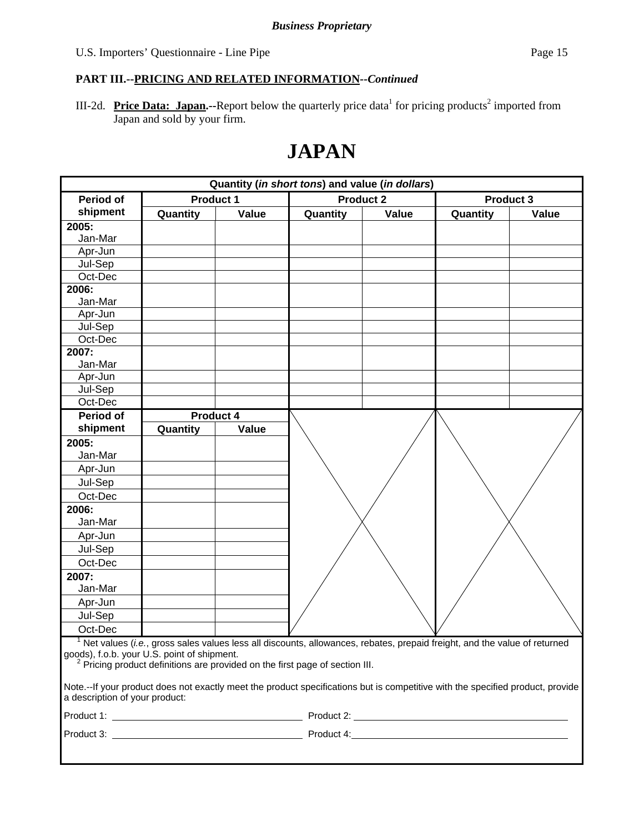III-2d. Price Data: Japan.--Report below the quarterly price data<sup>1</sup> for pricing products<sup>2</sup> imported from Japan and sold by your firm.

# **JAPAN**

| Quantity (in short tons) and value (in dollars)                                                                                |                  |       |                                                                                                                          |                  |          |                  |
|--------------------------------------------------------------------------------------------------------------------------------|------------------|-------|--------------------------------------------------------------------------------------------------------------------------|------------------|----------|------------------|
| <b>Period of</b>                                                                                                               | <b>Product 1</b> |       |                                                                                                                          | <b>Product 2</b> |          | <b>Product 3</b> |
| shipment                                                                                                                       | Quantity         | Value | Quantity                                                                                                                 | Value            | Quantity | Value            |
| 2005:                                                                                                                          |                  |       |                                                                                                                          |                  |          |                  |
| Jan-Mar                                                                                                                        |                  |       |                                                                                                                          |                  |          |                  |
| Apr-Jun                                                                                                                        |                  |       |                                                                                                                          |                  |          |                  |
| Jul-Sep                                                                                                                        |                  |       |                                                                                                                          |                  |          |                  |
| Oct-Dec                                                                                                                        |                  |       |                                                                                                                          |                  |          |                  |
| 2006:                                                                                                                          |                  |       |                                                                                                                          |                  |          |                  |
| Jan-Mar                                                                                                                        |                  |       |                                                                                                                          |                  |          |                  |
| Apr-Jun                                                                                                                        |                  |       |                                                                                                                          |                  |          |                  |
| Jul-Sep                                                                                                                        |                  |       |                                                                                                                          |                  |          |                  |
| Oct-Dec                                                                                                                        |                  |       |                                                                                                                          |                  |          |                  |
| 2007:                                                                                                                          |                  |       |                                                                                                                          |                  |          |                  |
| Jan-Mar                                                                                                                        |                  |       |                                                                                                                          |                  |          |                  |
| Apr-Jun                                                                                                                        |                  |       |                                                                                                                          |                  |          |                  |
| Jul-Sep                                                                                                                        |                  |       |                                                                                                                          |                  |          |                  |
| Oct-Dec                                                                                                                        |                  |       |                                                                                                                          |                  |          |                  |
| Period of                                                                                                                      | Product 4        |       |                                                                                                                          |                  |          |                  |
| shipment                                                                                                                       | Quantity         | Value |                                                                                                                          |                  |          |                  |
| 2005:                                                                                                                          |                  |       |                                                                                                                          |                  |          |                  |
| Jan-Mar                                                                                                                        |                  |       |                                                                                                                          |                  |          |                  |
| Apr-Jun                                                                                                                        |                  |       |                                                                                                                          |                  |          |                  |
| Jul-Sep                                                                                                                        |                  |       |                                                                                                                          |                  |          |                  |
| Oct-Dec                                                                                                                        |                  |       |                                                                                                                          |                  |          |                  |
| 2006:                                                                                                                          |                  |       |                                                                                                                          |                  |          |                  |
| Jan-Mar                                                                                                                        |                  |       |                                                                                                                          |                  |          |                  |
| Apr-Jun                                                                                                                        |                  |       |                                                                                                                          |                  |          |                  |
| Jul-Sep                                                                                                                        |                  |       |                                                                                                                          |                  |          |                  |
| Oct-Dec                                                                                                                        |                  |       |                                                                                                                          |                  |          |                  |
| 2007:                                                                                                                          |                  |       |                                                                                                                          |                  |          |                  |
| Jan-Mar                                                                                                                        |                  |       |                                                                                                                          |                  |          |                  |
| Apr-Jun                                                                                                                        |                  |       |                                                                                                                          |                  |          |                  |
| Jul-Sep                                                                                                                        |                  |       |                                                                                                                          |                  |          |                  |
| Oct-Dec                                                                                                                        |                  |       |                                                                                                                          |                  |          |                  |
|                                                                                                                                |                  |       | Net values (i.e., gross sales values less all discounts, allowances, rebates, prepaid freight, and the value of returned |                  |          |                  |
| goods), f.o.b. your U.S. point of shipment.                                                                                    |                  |       |                                                                                                                          |                  |          |                  |
|                                                                                                                                |                  |       | <sup>2</sup> Pricing product definitions are provided on the first page of section III.                                  |                  |          |                  |
| Note.--If your product does not exactly meet the product specifications but is competitive with the specified product, provide |                  |       |                                                                                                                          |                  |          |                  |
| a description of your product:                                                                                                 |                  |       |                                                                                                                          |                  |          |                  |
|                                                                                                                                |                  |       |                                                                                                                          |                  |          |                  |
|                                                                                                                                |                  |       |                                                                                                                          |                  |          |                  |
|                                                                                                                                |                  |       |                                                                                                                          |                  |          |                  |
|                                                                                                                                |                  |       |                                                                                                                          |                  |          |                  |
|                                                                                                                                |                  |       |                                                                                                                          |                  |          |                  |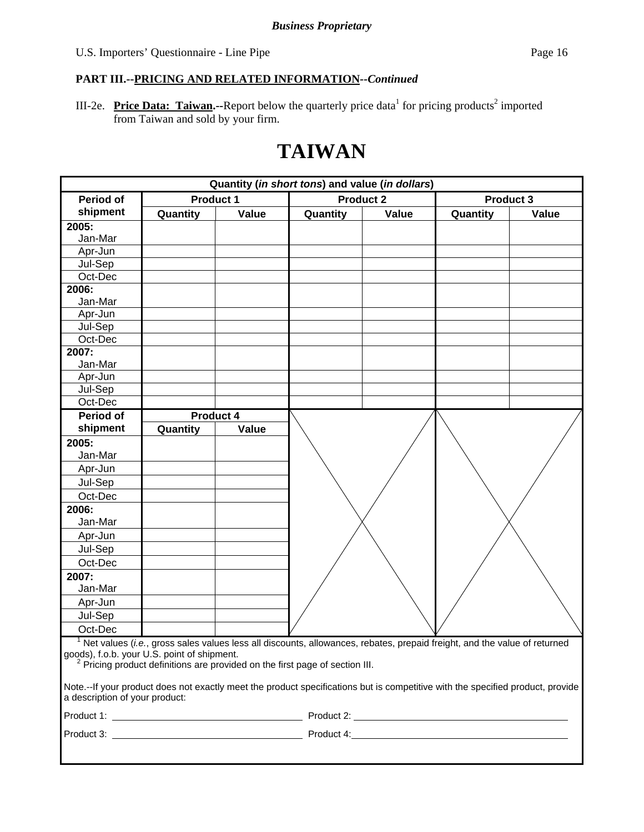III-2e. Price Data: Taiwan.--Report below the quarterly price data<sup>1</sup> for pricing products<sup>2</sup> imported from Taiwan and sold by your firm.

# **TAIWAN**

| Quantity (in short tons) and value (in dollars) |                  |       |                                                                                                                                |                  |          |           |
|-------------------------------------------------|------------------|-------|--------------------------------------------------------------------------------------------------------------------------------|------------------|----------|-----------|
| <b>Period of</b>                                | <b>Product 1</b> |       |                                                                                                                                | <b>Product 2</b> |          | Product 3 |
| shipment                                        | Quantity         | Value | Quantity                                                                                                                       | Value            | Quantity | Value     |
| 2005:                                           |                  |       |                                                                                                                                |                  |          |           |
| Jan-Mar                                         |                  |       |                                                                                                                                |                  |          |           |
| Apr-Jun                                         |                  |       |                                                                                                                                |                  |          |           |
| Jul-Sep                                         |                  |       |                                                                                                                                |                  |          |           |
| Oct-Dec                                         |                  |       |                                                                                                                                |                  |          |           |
| 2006:                                           |                  |       |                                                                                                                                |                  |          |           |
| Jan-Mar                                         |                  |       |                                                                                                                                |                  |          |           |
| Apr-Jun                                         |                  |       |                                                                                                                                |                  |          |           |
| Jul-Sep                                         |                  |       |                                                                                                                                |                  |          |           |
| Oct-Dec                                         |                  |       |                                                                                                                                |                  |          |           |
| 2007:                                           |                  |       |                                                                                                                                |                  |          |           |
| Jan-Mar                                         |                  |       |                                                                                                                                |                  |          |           |
| Apr-Jun                                         |                  |       |                                                                                                                                |                  |          |           |
| Jul-Sep                                         |                  |       |                                                                                                                                |                  |          |           |
| Oct-Dec                                         |                  |       |                                                                                                                                |                  |          |           |
| <b>Period of</b>                                | Product 4        |       |                                                                                                                                |                  |          |           |
| shipment                                        | Quantity         | Value |                                                                                                                                |                  |          |           |
| 2005:                                           |                  |       |                                                                                                                                |                  |          |           |
| Jan-Mar                                         |                  |       |                                                                                                                                |                  |          |           |
| Apr-Jun                                         |                  |       |                                                                                                                                |                  |          |           |
| Jul-Sep                                         |                  |       |                                                                                                                                |                  |          |           |
| Oct-Dec                                         |                  |       |                                                                                                                                |                  |          |           |
| 2006:                                           |                  |       |                                                                                                                                |                  |          |           |
| Jan-Mar                                         |                  |       |                                                                                                                                |                  |          |           |
| Apr-Jun                                         |                  |       |                                                                                                                                |                  |          |           |
| Jul-Sep                                         |                  |       |                                                                                                                                |                  |          |           |
| Oct-Dec                                         |                  |       |                                                                                                                                |                  |          |           |
| 2007:                                           |                  |       |                                                                                                                                |                  |          |           |
| Jan-Mar                                         |                  |       |                                                                                                                                |                  |          |           |
| Apr-Jun                                         |                  |       |                                                                                                                                |                  |          |           |
| Jul-Sep                                         |                  |       |                                                                                                                                |                  |          |           |
| Oct-Dec                                         |                  |       |                                                                                                                                |                  |          |           |
|                                                 |                  |       | $1$ Net values (i.e., gross sales values less all discounts, allowances, rebates, prepaid freight, and the value of returned   |                  |          |           |
| goods), f.o.b. your U.S. point of shipment.     |                  |       |                                                                                                                                |                  |          |           |
|                                                 |                  |       | <sup>2</sup> Pricing product definitions are provided on the first page of section III.                                        |                  |          |           |
|                                                 |                  |       | Note.--If your product does not exactly meet the product specifications but is competitive with the specified product, provide |                  |          |           |
| a description of your product:                  |                  |       |                                                                                                                                |                  |          |           |
|                                                 |                  |       |                                                                                                                                |                  |          |           |
|                                                 |                  |       |                                                                                                                                |                  |          |           |
|                                                 |                  |       |                                                                                                                                |                  |          |           |
|                                                 |                  |       |                                                                                                                                |                  |          |           |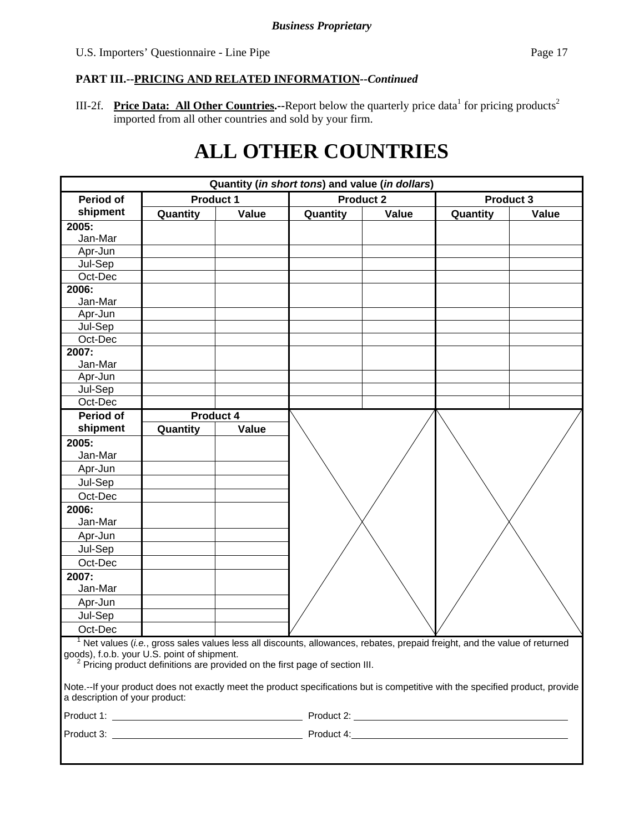III-2f. Price Data: All Other Countries.--Report below the quarterly price data<sup>1</sup> for pricing products<sup>2</sup> imported from all other countries and sold by your firm.

# **ALL OTHER COUNTRIES**

| Quantity (in short tons) and value (in dollars)                                                                                                                  |                  |       |                                                                                                                                                                                                                         |                  |          |           |
|------------------------------------------------------------------------------------------------------------------------------------------------------------------|------------------|-------|-------------------------------------------------------------------------------------------------------------------------------------------------------------------------------------------------------------------------|------------------|----------|-----------|
| <b>Period of</b>                                                                                                                                                 | <b>Product 1</b> |       |                                                                                                                                                                                                                         | <b>Product 2</b> |          | Product 3 |
| shipment                                                                                                                                                         | Quantity         | Value | Quantity                                                                                                                                                                                                                | Value            | Quantity | Value     |
| 2005:                                                                                                                                                            |                  |       |                                                                                                                                                                                                                         |                  |          |           |
| Jan-Mar                                                                                                                                                          |                  |       |                                                                                                                                                                                                                         |                  |          |           |
| Apr-Jun                                                                                                                                                          |                  |       |                                                                                                                                                                                                                         |                  |          |           |
| Jul-Sep                                                                                                                                                          |                  |       |                                                                                                                                                                                                                         |                  |          |           |
| Oct-Dec                                                                                                                                                          |                  |       |                                                                                                                                                                                                                         |                  |          |           |
| 2006:                                                                                                                                                            |                  |       |                                                                                                                                                                                                                         |                  |          |           |
| Jan-Mar                                                                                                                                                          |                  |       |                                                                                                                                                                                                                         |                  |          |           |
| Apr-Jun                                                                                                                                                          |                  |       |                                                                                                                                                                                                                         |                  |          |           |
| Jul-Sep                                                                                                                                                          |                  |       |                                                                                                                                                                                                                         |                  |          |           |
| Oct-Dec                                                                                                                                                          |                  |       |                                                                                                                                                                                                                         |                  |          |           |
| 2007:                                                                                                                                                            |                  |       |                                                                                                                                                                                                                         |                  |          |           |
| Jan-Mar                                                                                                                                                          |                  |       |                                                                                                                                                                                                                         |                  |          |           |
| Apr-Jun                                                                                                                                                          |                  |       |                                                                                                                                                                                                                         |                  |          |           |
| Jul-Sep<br>Oct-Dec                                                                                                                                               |                  |       |                                                                                                                                                                                                                         |                  |          |           |
| <b>Period of</b>                                                                                                                                                 |                  |       |                                                                                                                                                                                                                         |                  |          |           |
|                                                                                                                                                                  | <b>Product 4</b> |       |                                                                                                                                                                                                                         |                  |          |           |
| shipment                                                                                                                                                         | Quantity         | Value |                                                                                                                                                                                                                         |                  |          |           |
| 2005:                                                                                                                                                            |                  |       |                                                                                                                                                                                                                         |                  |          |           |
| Jan-Mar                                                                                                                                                          |                  |       |                                                                                                                                                                                                                         |                  |          |           |
| Apr-Jun                                                                                                                                                          |                  |       |                                                                                                                                                                                                                         |                  |          |           |
| Jul-Sep                                                                                                                                                          |                  |       |                                                                                                                                                                                                                         |                  |          |           |
| Oct-Dec                                                                                                                                                          |                  |       |                                                                                                                                                                                                                         |                  |          |           |
| 2006:                                                                                                                                                            |                  |       |                                                                                                                                                                                                                         |                  |          |           |
| Jan-Mar                                                                                                                                                          |                  |       |                                                                                                                                                                                                                         |                  |          |           |
| Apr-Jun                                                                                                                                                          |                  |       |                                                                                                                                                                                                                         |                  |          |           |
| Jul-Sep                                                                                                                                                          |                  |       |                                                                                                                                                                                                                         |                  |          |           |
| Oct-Dec                                                                                                                                                          |                  |       |                                                                                                                                                                                                                         |                  |          |           |
| 2007:                                                                                                                                                            |                  |       |                                                                                                                                                                                                                         |                  |          |           |
| Jan-Mar                                                                                                                                                          |                  |       |                                                                                                                                                                                                                         |                  |          |           |
| Apr-Jun                                                                                                                                                          |                  |       |                                                                                                                                                                                                                         |                  |          |           |
| Jul-Sep                                                                                                                                                          |                  |       |                                                                                                                                                                                                                         |                  |          |           |
| Oct-Dec                                                                                                                                                          |                  |       |                                                                                                                                                                                                                         |                  |          |           |
| goods), f.o.b. your U.S. point of shipment.                                                                                                                      |                  |       | $1$ Net values (i.e., gross sales values less all discounts, allowances, rebates, prepaid freight, and the value of returned<br><sup>2</sup> Pricing product definitions are provided on the first page of section III. |                  |          |           |
| Note.--If your product does not exactly meet the product specifications but is competitive with the specified product, provide<br>a description of your product: |                  |       |                                                                                                                                                                                                                         |                  |          |           |
|                                                                                                                                                                  |                  |       |                                                                                                                                                                                                                         |                  |          |           |
|                                                                                                                                                                  |                  |       |                                                                                                                                                                                                                         |                  |          |           |
|                                                                                                                                                                  |                  |       |                                                                                                                                                                                                                         |                  |          |           |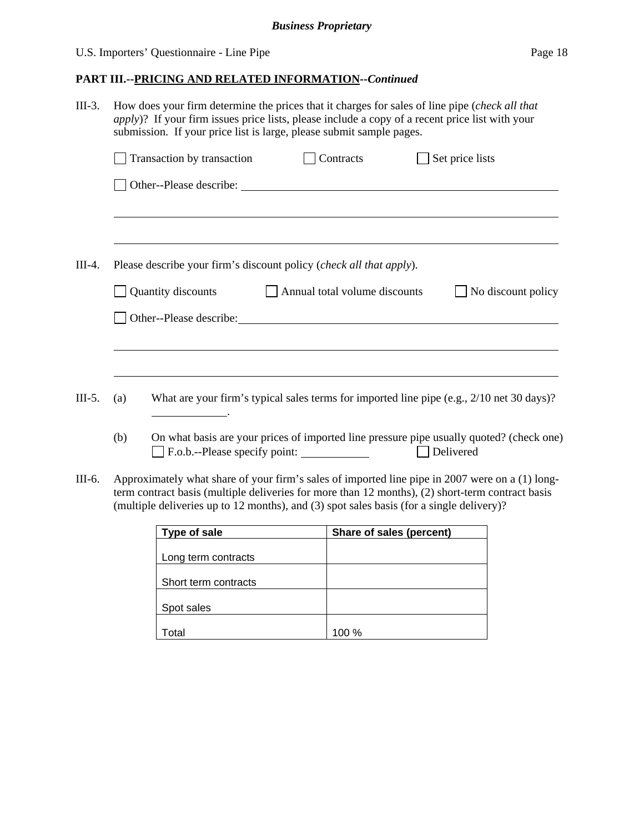## U.S. Importers' Questionnaire - Line Pipe Page 18

## **PART III.--PRICING AND RELATED INFORMATION***--Continued*

| $III-3.$ | How does your firm determine the prices that it charges for sales of line pipe (check all that<br><i>apply</i> )? If your firm issues price lists, please include a copy of a recent price list with your<br>submission. If your price list is large, please submit sample pages. |                                                                                                                                                                                                                               |                               |                                                                                                                                                                                                     |  |  |
|----------|-----------------------------------------------------------------------------------------------------------------------------------------------------------------------------------------------------------------------------------------------------------------------------------|-------------------------------------------------------------------------------------------------------------------------------------------------------------------------------------------------------------------------------|-------------------------------|-----------------------------------------------------------------------------------------------------------------------------------------------------------------------------------------------------|--|--|
|          |                                                                                                                                                                                                                                                                                   | Transaction by transaction                                                                                                                                                                                                    | Contracts                     | Set price lists                                                                                                                                                                                     |  |  |
|          |                                                                                                                                                                                                                                                                                   |                                                                                                                                                                                                                               |                               |                                                                                                                                                                                                     |  |  |
|          |                                                                                                                                                                                                                                                                                   |                                                                                                                                                                                                                               |                               | ,我们也不会有什么。""我们的人,我们也不会有什么?""我们的人,我们也不会有什么?""我们的人,我们也不会有什么?""我们的人,我们也不会有什么?""我们的人                                                                                                                    |  |  |
| $III-4.$ |                                                                                                                                                                                                                                                                                   | Please describe your firm's discount policy (check all that apply).                                                                                                                                                           |                               |                                                                                                                                                                                                     |  |  |
|          |                                                                                                                                                                                                                                                                                   | Quantity discounts                                                                                                                                                                                                            | Annual total volume discounts | No discount policy                                                                                                                                                                                  |  |  |
|          |                                                                                                                                                                                                                                                                                   | Other--Please describe: 1999 and 2009 and 2009 and 2009 and 2009 and 2009 and 2009 and 2009 and 2009 and 2009 and 2009 and 2009 and 2009 and 2009 and 2009 and 2009 and 2009 and 2009 and 2009 and 2009 and 2009 and 2009 and |                               |                                                                                                                                                                                                     |  |  |
|          |                                                                                                                                                                                                                                                                                   |                                                                                                                                                                                                                               |                               |                                                                                                                                                                                                     |  |  |
| $III-5.$ | (a)                                                                                                                                                                                                                                                                               | <u> 1989 - Johann Barbara, martin e</u>                                                                                                                                                                                       |                               | What are your firm's typical sales terms for imported line pipe $(e.g., 2/10$ net 30 days)?                                                                                                         |  |  |
|          | (b)                                                                                                                                                                                                                                                                               | F.o.b.--Please specify point:                                                                                                                                                                                                 |                               | On what basis are your prices of imported line pressure pipe usually quoted? (check one)<br>Delivered                                                                                               |  |  |
| III-6.   |                                                                                                                                                                                                                                                                                   |                                                                                                                                                                                                                               |                               | Approximately what share of your firm's sales of imported line pipe in 2007 were on a (1) long-<br>term contract basis (multiple deliveries for more than 12 months), (2) short-term contract basis |  |  |

| Type of sale         | Share of sales (percent) |
|----------------------|--------------------------|
| Long term contracts  |                          |
| Short term contracts |                          |
| Spot sales           |                          |
| otal                 | 100 %                    |

(multiple deliveries up to 12 months), and (3) spot sales basis (for a single delivery)?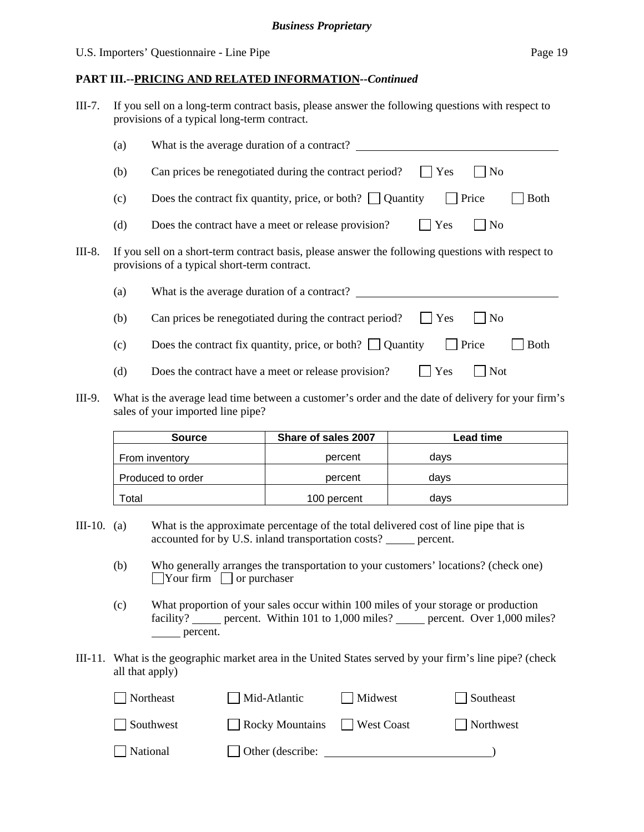#### **PART III.--PRICING AND RELATED INFORMATION***--Continued*

| III-7. | If you sell on a long-term contract basis, please answer the following questions with respect to |
|--------|--------------------------------------------------------------------------------------------------|
|        | provisions of a typical long-term contract.                                                      |

|        | (a) | What is the average duration of a contract?                                                                                                       |  |  |  |  |
|--------|-----|---------------------------------------------------------------------------------------------------------------------------------------------------|--|--|--|--|
|        | (b) | Can prices be renegotiated during the contract period?<br>$ $ Yes<br>$\overline{N}$                                                               |  |  |  |  |
|        | (c) | Price<br>Does the contract fix quantity, price, or both? $\Box$ Quantity<br><b>Both</b>                                                           |  |  |  |  |
|        | (d) | Yes<br>Does the contract have a meet or release provision?<br>$ $ No                                                                              |  |  |  |  |
| III-8. |     | If you sell on a short-term contract basis, please answer the following questions with respect to<br>provisions of a typical short-term contract. |  |  |  |  |
|        | (a) | What is the average duration of a contract?                                                                                                       |  |  |  |  |
|        | (b) | <b>Yes</b><br>Can prices be renegotiated during the contract period?<br>$\overline{N_{0}}$                                                        |  |  |  |  |
|        | (c) | Price<br>Does the contract fix quantity, price, or both? $\Box$ Quantity<br><b>Both</b>                                                           |  |  |  |  |
|        | (d) | Yes<br>Does the contract have a meet or release provision?<br><b>Not</b>                                                                          |  |  |  |  |

III-9. What is the average lead time between a customer's order and the date of delivery for your firm's sales of your imported line pipe?

| <b>Source</b>     | Share of sales 2007 | <b>Lead time</b> |
|-------------------|---------------------|------------------|
| From inventory    | percent             | davs             |
| Produced to order | percent             | davs             |
| <sup>-</sup> otal | 100 percent         | davs             |

- III-10. (a) What is the approximate percentage of the total delivered cost of line pipe that is accounted for by U.S. inland transportation costs? \_\_\_\_\_ percent.
	- (b) Who generally arranges the transportation to your customers' locations? (check one)  $\Box$ Your firm  $\Box$  or purchaser
	- (c) What proportion of your sales occur within 100 miles of your storage or production facility? percent. Within 101 to 1,000 miles? percent. Over 1,000 miles? percent.
- III-11. What is the geographic market area in the United States served by your firm's line pipe? (check all that apply)

| Northeast | Mid-Atlantic            | Midwest    | Southeast |
|-----------|-------------------------|------------|-----------|
| Southwest | $\Box$ Rocky Mountains  | West Coast | Northwest |
| National  | $\Box$ Other (describe: |            |           |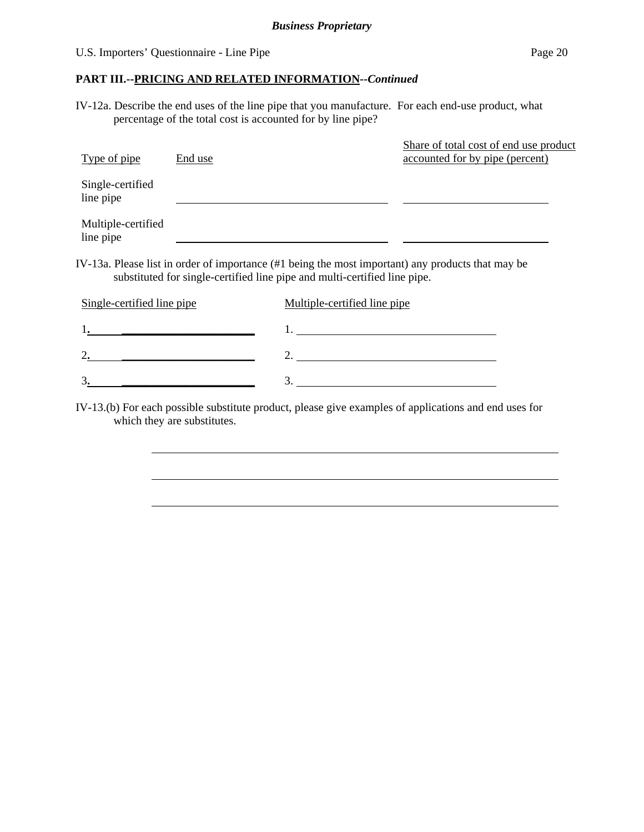### U.S. Importers' Questionnaire - Line Pipe Page 20

 $\overline{a}$ 

### **PART III.--PRICING AND RELATED INFORMATION***--Continued*

IV-12a. Describe the end uses of the line pipe that you manufacture. For each end-use product, what percentage of the total cost is accounted for by line pipe?

| Type of pipe                    | End use |                                                                           | Share of total cost of end use product<br>accounted for by pipe (percent)                         |
|---------------------------------|---------|---------------------------------------------------------------------------|---------------------------------------------------------------------------------------------------|
| Single-certified<br>line pipe   |         |                                                                           |                                                                                                   |
| Multiple-certified<br>line pipe |         |                                                                           |                                                                                                   |
|                                 |         | substituted for single-certified line pipe and multi-certified line pipe. | IV-13a. Please list in order of importance (#1 being the most important) any products that may be |
| Single-certified line pipe      |         | Multiple-certified line pipe                                              |                                                                                                   |
|                                 |         |                                                                           |                                                                                                   |

3**. \_\_\_\_\_\_\_\_\_\_\_\_\_\_\_\_\_\_\_\_\_\_\_** 3. IV-13.(b) For each possible substitute product, please give examples of applications and end uses for which they are substitutes.

2**. \_\_\_\_\_\_\_\_\_\_\_\_\_\_\_\_\_\_\_\_\_\_\_** 2.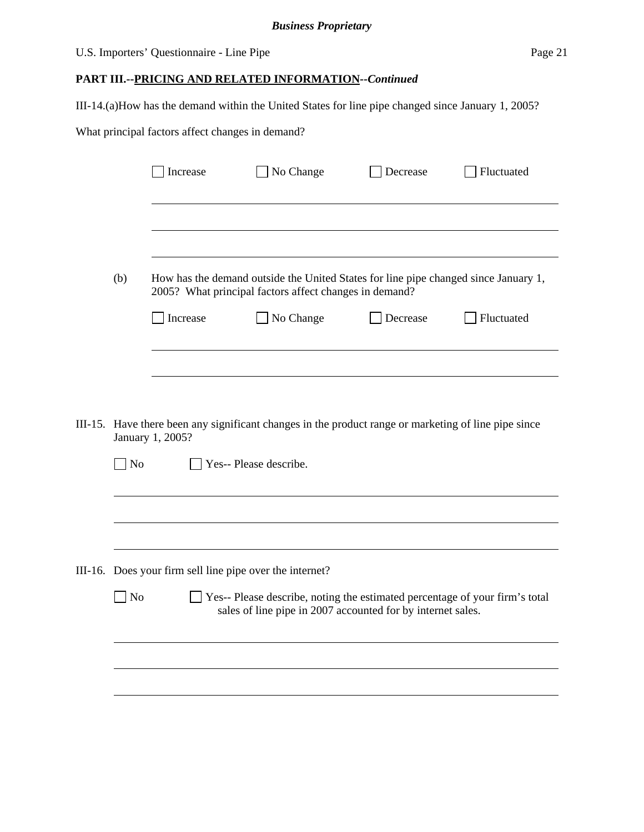## U.S. Importers' Questionnaire - Line Pipe Page 21

## **PART III.--PRICING AND RELATED INFORMATION***--Continued*

III-14.(a)How has the demand within the United States for line pipe changed since January 1, 2005?

What principal factors affect changes in demand?

|                                                                                                                                                          | Increase | No Change                                                                                                                                     | Decrease | Fluctuated |  |  |
|----------------------------------------------------------------------------------------------------------------------------------------------------------|----------|-----------------------------------------------------------------------------------------------------------------------------------------------|----------|------------|--|--|
|                                                                                                                                                          |          |                                                                                                                                               |          |            |  |  |
| (b)                                                                                                                                                      |          | How has the demand outside the United States for line pipe changed since January 1,<br>2005? What principal factors affect changes in demand? |          |            |  |  |
|                                                                                                                                                          | Increase | No Change                                                                                                                                     | Decrease | Fluctuated |  |  |
|                                                                                                                                                          |          |                                                                                                                                               |          |            |  |  |
| III-15. Have there been any significant changes in the product range or marketing of line pipe since<br>January 1, 2005?<br>No<br>Yes-- Please describe. |          |                                                                                                                                               |          |            |  |  |
|                                                                                                                                                          |          |                                                                                                                                               |          |            |  |  |
|                                                                                                                                                          |          |                                                                                                                                               |          |            |  |  |
| III-16. Does your firm sell line pipe over the internet?                                                                                                 |          |                                                                                                                                               |          |            |  |  |
| N <sub>o</sub>                                                                                                                                           |          | Yes-- Please describe, noting the estimated percentage of your firm's total<br>sales of line pipe in 2007 accounted for by internet sales.    |          |            |  |  |
|                                                                                                                                                          |          |                                                                                                                                               |          |            |  |  |
|                                                                                                                                                          |          |                                                                                                                                               |          |            |  |  |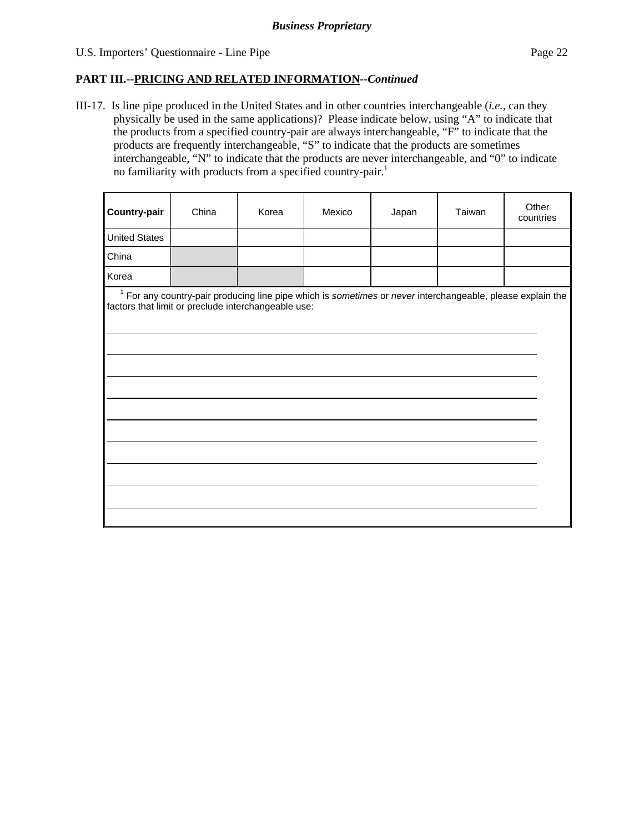$\overline{a}$ 

 $\overline{a}$ 

 $\overline{a}$ 

 $\overline{a}$ 

 $\overline{a}$ 

### **PART III.--PRICING AND RELATED INFORMATION***--Continued*

III-17. Is line pipe produced in the United States and in other countries interchangeable (*i.e.*, can they physically be used in the same applications)? Please indicate below, using "A" to indicate that the products from a specified country-pair are always interchangeable, "F" to indicate that the products are frequently interchangeable, "S" to indicate that the products are sometimes interchangeable, "N" to indicate that the products are never interchangeable, and "0" to indicate no familiarity with products from a specified country-pair.<sup>1</sup>

| <b>Country-pair</b>  | China | Korea | Mexico | Japan | Taiwan | Other<br>countries |
|----------------------|-------|-------|--------|-------|--------|--------------------|
| <b>United States</b> |       |       |        |       |        |                    |
| China                |       |       |        |       |        |                    |
| Korea                |       |       |        |       |        |                    |

<sup>1</sup> For any country-pair producing line pipe which is *sometimes* or *never* interchangeable, please explain the factors that limit or preclude interchangeable use: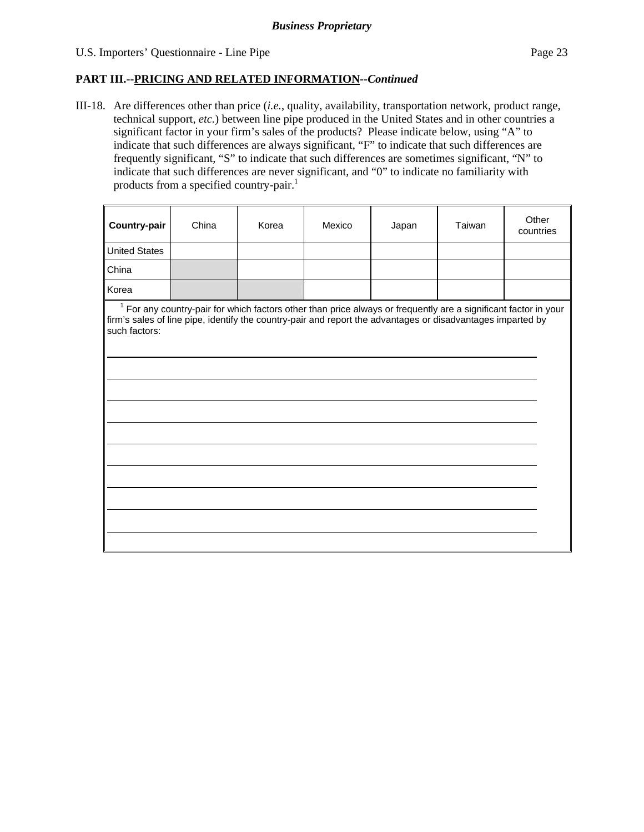#### U.S. Importers' Questionnaire - Line Pipe Page 23

 $\overline{a}$ 

 $\overline{a}$ 

 $\overline{a}$ 

 $\overline{a}$ 

### **PART III.--PRICING AND RELATED INFORMATION***--Continued*

III-18. Are differences other than price (*i.e.*, quality, availability, transportation network, product range, technical support, *etc.*) between line pipe produced in the United States and in other countries a significant factor in your firm's sales of the products? Please indicate below, using "A" to indicate that such differences are always significant, "F" to indicate that such differences are frequently significant, "S" to indicate that such differences are sometimes significant, "N" to indicate that such differences are never significant, and "0" to indicate no familiarity with products from a specified country-pair.<sup>1</sup>

| <b>Country-pair</b>  | China | Korea | Mexico | Japan | Taiwan | Other<br>countries |
|----------------------|-------|-------|--------|-------|--------|--------------------|
| <b>United States</b> |       |       |        |       |        |                    |
| China                |       |       |        |       |        |                    |
| Korea                |       |       |        |       |        |                    |

<sup>1</sup> For any country-pair for which factors other than price always or frequently are a significant factor in your firm's sales of line pipe, identify the country-pair and report the advantages or disadvantages imparted by such factors: